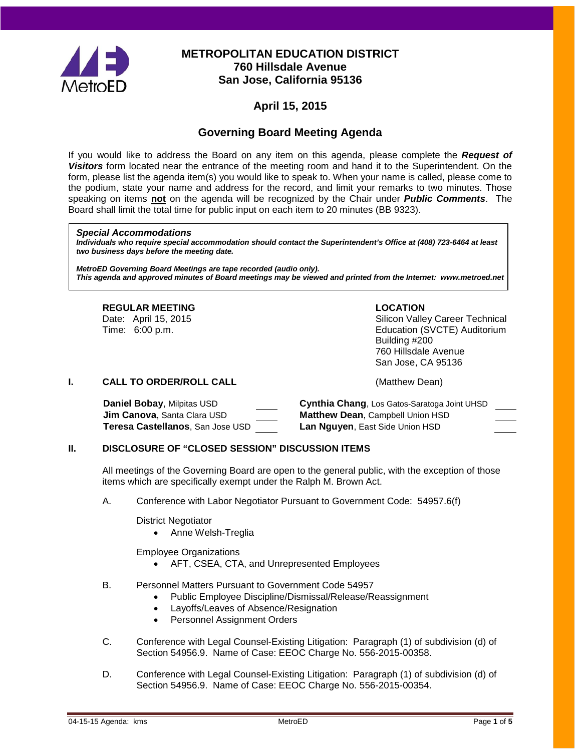

## **METROPOLITAN EDUCATION DISTRICT 760 Hillsdale Avenue San Jose, California 95136**

# **April 15, 2015**

# **Governing Board Meeting Agenda**

If you would like to address the Board on any item on this agenda, please complete the *Request of Visitors* form located near the entrance of the meeting room and hand it to the Superintendent. On the form, please list the agenda item(s) you would like to speak to. When your name is called, please come to the podium, state your name and address for the record, and limit your remarks to two minutes. Those speaking on items **not** on the agenda will be recognized by the Chair under *Public Comments*. The Board shall limit the total time for public input on each item to 20 minutes (BB 9323).

#### *Special Accommodations*

*Individuals who require special accommodation should contact the Superintendent's Office at (408) 723-6464 at least two business days before the meeting date.*

*MetroED Governing Board Meetings are tape recorded (audio only). This agenda and approved minutes of Board meetings may be viewed and printed from the Internet: www.metroed.net*

#### **REGULAR MEETING LOCATION**

Date: April 15, 2015 <br>
Time: 6:00 p.m. Silicon Valley Career Technical<br>
Education (SVCTE) Auditorium Education (SVCTE) Auditorium Building #200 760 Hillsdale Avenue San Jose, CA 95136

#### **I. CALL TO ORDER/ROLL CALL CALL CALL** (Matthew Dean)

| Daniel Bobay, Milpitas USD               | Cynthia Chang, Los Gatos-Saratoga Joint UHSD |
|------------------------------------------|----------------------------------------------|
| <b>Jim Canova</b> , Santa Clara USD      | <b>Matthew Dean, Campbell Union HSD</b>      |
| <b>Teresa Castellanos</b> . San Jose USD | Lan Nguyen, East Side Union HSD              |

### **II. DISCLOSURE OF "CLOSED SESSION" DISCUSSION ITEMS**

All meetings of the Governing Board are open to the general public, with the exception of those items which are specifically exempt under the Ralph M. Brown Act.

A. Conference with Labor Negotiator Pursuant to Government Code: 54957.6(f)

District Negotiator

• Anne Welsh-Treglia

Employee Organizations

- AFT, CSEA, CTA, and Unrepresented Employees
- B. Personnel Matters Pursuant to Government Code 54957
	- Public Employee Discipline/Dismissal/Release/Reassignment
	- Layoffs/Leaves of Absence/Resignation
	- Personnel Assignment Orders
- C. Conference with Legal Counsel-Existing Litigation: Paragraph (1) of subdivision (d) of Section 54956.9. Name of Case: EEOC Charge No. 556-2015-00358.
- D. Conference with Legal Counsel-Existing Litigation: Paragraph (1) of subdivision (d) of Section 54956.9. Name of Case: EEOC Charge No. 556-2015-00354.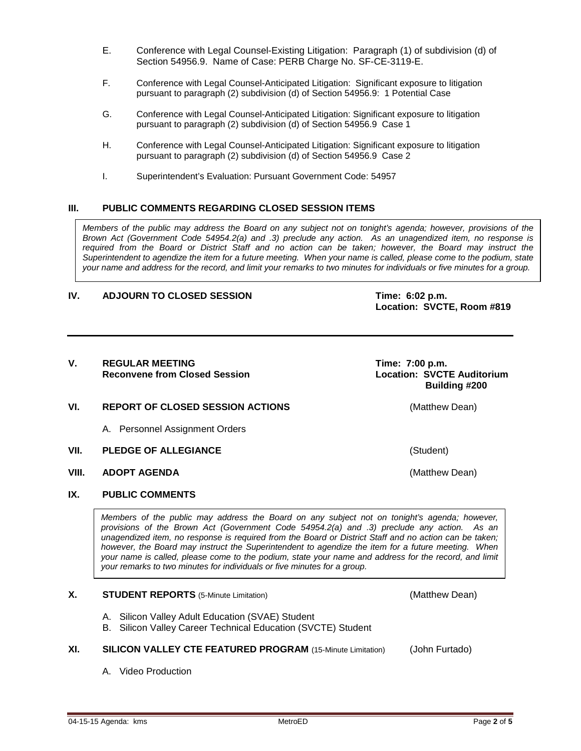- E. Conference with Legal Counsel-Existing Litigation: Paragraph (1) of subdivision (d) of Section 54956.9. Name of Case: PERB Charge No. SF-CE-3119-E.
- F. Conference with Legal Counsel-Anticipated Litigation: Significant exposure to litigation pursuant to paragraph (2) subdivision (d) of Section 54956.9: 1 Potential Case
- G. Conference with Legal Counsel-Anticipated Litigation: Significant exposure to litigation pursuant to paragraph (2) subdivision (d) of Section 54956.9 Case 1
- H. Conference with Legal Counsel-Anticipated Litigation: Significant exposure to litigation pursuant to paragraph (2) subdivision (d) of Section 54956.9 Case 2
- I. Superintendent's Evaluation: Pursuant Government Code: 54957

#### **III. PUBLIC COMMENTS REGARDING CLOSED SESSION ITEMS**

*Members of the public may address the Board on any subject not on tonight's agenda; however, provisions of the Brown Act (Government Code 54954.2(a) and .3) preclude any action. As an unagendized item, no response is required from the Board or District Staff and no action can be taken; however, the Board may instruct the Superintendent to agendize the item for a future meeting. When your name is called, please come to the podium, state your name and address for the record, and limit your remarks to two minutes for individuals or five minutes for a group.*

#### **IV. ADJOURN TO CLOSED SESSION Time: 6:02 p.m.**

**Location: SVCTE, Room #819**

#### V. REGULAR MEETING<br>Reconvene from Closed Session **Time: 7:00 p.m.**<br>Location: SVCTE Auditorium **Reconvene from Closed Session**

#### **VI. REPORT OF CLOSED SESSION ACTIONS** (Matthew Dean)

- A. Personnel Assignment Orders
- **VII. PLEDGE OF ALLEGIANCE** (Student)
- **VIII. ADOPT AGENDA** (Matthew Dean)

#### **IX. PUBLIC COMMENTS**

*Members of the public may address the Board on any subject not on tonight's agenda; however, provisions of the Brown Act (Government Code 54954.2(a) and .3) preclude any action. As an unagendized item, no response is required from the Board or District Staff and no action can be taken; however, the Board may instruct the Superintendent to agendize the item for a future meeting. When your name is called, please come to the podium, state your name and address for the record, and limit your remarks to two minutes for individuals or five minutes for a group.*

#### **X. STUDENT REPORTS** (5-Minute Limitation) (Matthew Dean)

- A. Silicon Valley Adult Education (SVAE) Student
- B. Silicon Valley Career Technical Education (SVCTE) Student

#### **XI. SILICON VALLEY CTE FEATURED PROGRAM** (15-Minute Limitation) (John Furtado)

A. Video Production

 **Building #200**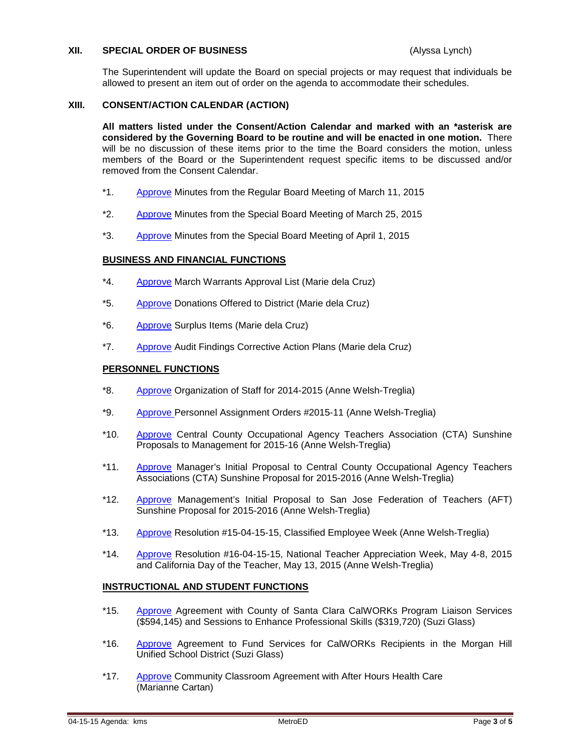#### **XII. SPECIAL ORDER OF BUSINESS** (Alyssa Lynch)

The Superintendent will update the Board on special projects or may request that individuals be allowed to present an item out of order on the agenda to accommodate their schedules.

#### **XIII. CONSENT/ACTION CALENDAR (ACTION)**

**All matters listed under the Consent/Action Calendar and marked with an \*asterisk are considered by the Governing Board to be routine and will be enacted in one motion.** There will be no discussion of these items prior to the time the Board considers the motion, unless members of the Board or the Superintendent request specific items to be discussed and/or removed from the Consent Calendar.

- \*1. [Approve](http://fbsd.metroed.net/ksmith/Board_Agenda/04-15-15BoardAgenda/Item-01_03-11-15BoardMinutes.pdf) Minutes from the Regular Board Meeting of March 11, 2015
- \*2. [Approve](http://fbsd.metroed.net/ksmith/Board_Agenda/04-15-15BoardAgenda/Item-02_03-25-15BoardMinutes.pdf) Minutes from the Special Board Meeting of March 25, 2015
- \*3. [Approve](http://fbsd.metroed.net/ksmith/Board_Agenda/04-15-15BoardAgenda/Item-03_04-01-15BoardMinutes.pdf) Minutes from the Special Board Meeting of April 1, 2015

#### **BUSINESS AND FINANCIAL FUNCTIONS**

- \*4. [Approve](http://fbsd.metroed.net/ksmith/Board_Agenda/04-15-15BoardAgenda/Item-04.pdf) March Warrants Approval List (Marie dela Cruz)
- \*5. [Approve](http://fbsd.metroed.net/ksmith/Board_Agenda/04-15-15BoardAgenda/Item-05.pdf) Donations Offered to District (Marie dela Cruz)
- \*6. [Approve](http://fbsd.metroed.net/ksmith/Board_Agenda/04-15-15BoardAgenda/Item-06.pdf) Surplus Items (Marie dela Cruz)
- \*7. [Approve](http://fbsd.metroed.net/ksmith/Board_Agenda/04-15-15BoardAgenda/Item-07.pdf) Audit Findings Corrective Action Plans (Marie dela Cruz)

#### **PERSONNEL FUNCTIONS**

- \*8. [Approve](http://fbsd.metroed.net/ksmith/Board_Agenda/04-15-15BoardAgenda/Item-08.pdf) Organization of Staff for 2014-2015 (Anne Welsh-Treglia)
- \*9. [Approve P](http://fbsd.metroed.net/ksmith/Board_Agenda/04-15-15BoardAgenda/Item-09.pdf)ersonnel Assignment Orders #2015-11 (Anne Welsh-Treglia)
- \*10. [Approve](http://fbsd.metroed.net/ksmith/Board_Agenda/04-15-15BoardAgenda/Item-10.pdf) Central County Occupational Agency Teachers Association (CTA) Sunshine Proposals to Management for 2015-16 (Anne Welsh-Treglia)
- \*11. [Approve](http://fbsd.metroed.net/ksmith/Board_Agenda/04-15-15BoardAgenda/Item-11.pdf) Manager's Initial Proposal to Central County Occupational Agency Teachers Associations (CTA) Sunshine Proposal for 2015-2016 (Anne Welsh-Treglia)
- \*12. [Approve](http://fbsd.metroed.net/ksmith/Board_Agenda/04-15-15BoardAgenda/Item-12.pdf) Management's Initial Proposal to San Jose Federation of Teachers (AFT) Sunshine Proposal for 2015-2016 (Anne Welsh-Treglia)
- \*13. [Approve](http://fbsd.metroed.net/ksmith/Board_Agenda/04-15-15BoardAgenda/Item-13.pdf) Resolution #15-04-15-15, Classified Employee Week (Anne Welsh-Treglia)
- \*14. [Approve](http://fbsd.metroed.net/ksmith/Board_Agenda/04-15-15BoardAgenda/Item-14.pdf) Resolution #16-04-15-15, National Teacher Appreciation Week, May 4-8, 2015 and California Day of the Teacher, May 13, 2015 (Anne Welsh-Treglia)

#### **INSTRUCTIONAL AND STUDENT FUNCTIONS**

- \*15. [Approve](http://fbsd.metroed.net/ksmith/Board_Agenda/04-15-15BoardAgenda/Item-15.pdf) Agreement with County of Santa Clara CalWORKs Program Liaison Services (\$594,145) and Sessions to Enhance Professional Skills (\$319,720) (Suzi Glass)
- \*16. [Approve](http://fbsd.metroed.net/ksmith/Board_Agenda/04-15-15BoardAgenda/Item-16.pdf) Agreement to Fund Services for CalWORKs Recipients in the Morgan Hill Unified School District (Suzi Glass)
- \*17. [Approve](http://fbsd.metroed.net/ksmith/Board_Agenda/04-15-15BoardAgenda/Item-17.pdf) Community Classroom Agreement with After Hours Health Care (Marianne Cartan)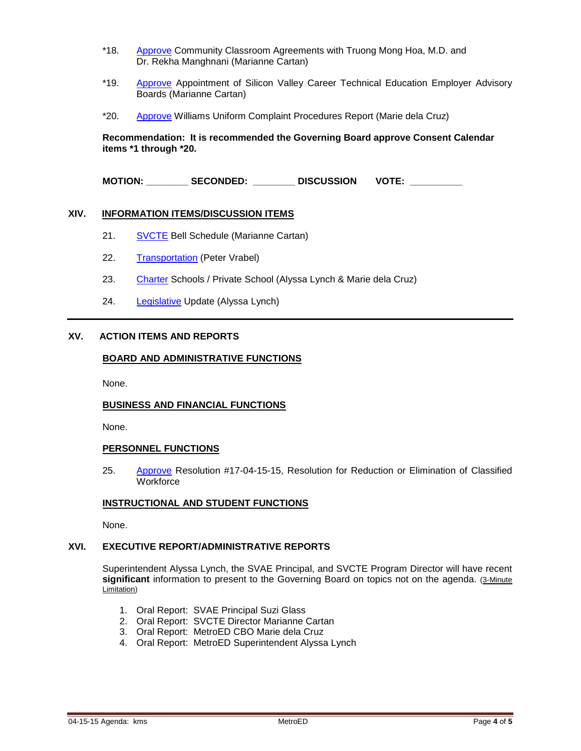- \*18. [Approve](http://fbsd.metroed.net/ksmith/Board_Agenda/04-15-15BoardAgenda/Item-18.pdf) Community Classroom Agreements with Truong Mong Hoa, M.D. and Dr. Rekha Manghnani (Marianne Cartan)
- \*19. [Approve](http://fbsd.metroed.net/ksmith/Board_Agenda/04-15-15BoardAgenda/Item-19.pdf) Appointment of Silicon Valley Career Technical Education Employer Advisory Boards (Marianne Cartan)
- \*20. [Approve](http://fbsd.metroed.net/ksmith/Board_Agenda/04-15-15BoardAgenda/Item-20.pdf) Williams Uniform Complaint Procedures Report (Marie dela Cruz)

**Recommendation: It is recommended the Governing Board approve Consent Calendar items \*1 through \*20.**

**MOTION: \_\_\_\_\_\_\_\_ SECONDED: \_\_\_\_\_\_\_\_ DISCUSSION VOTE: \_\_\_\_\_\_\_\_\_\_**

#### **XIV. INFORMATION ITEMS/DISCUSSION ITEMS**

- 21. [SVCTE](http://fbsd.metroed.net/ksmith/Board_Agenda/04-15-15BoardAgenda/Item-21.pdf) Bell Schedule (Marianne Cartan)
- 22. [Transportation](http://fbsd.metroed.net/ksmith/Board_Agenda/04-15-15BoardAgenda/Item-22.pdf) (Peter Vrabel)
- 23. [Charter](http://fbsd.metroed.net/ksmith/Board_Agenda/04-15-15BoardAgenda/Item-23.pdf) Schools / Private School (Alyssa Lynch & Marie dela Cruz)
- 24. [Legislative](http://fbsd.metroed.net/ksmith/Board_Agenda/04-15-15BoardAgenda/Item-24.pdf) Update (Alyssa Lynch)

#### **XV. ACTION ITEMS AND REPORTS**

#### **BOARD AND ADMINISTRATIVE FUNCTIONS**

None.

#### **BUSINESS AND FINANCIAL FUNCTIONS**

None.

#### **PERSONNEL FUNCTIONS**

25. [Approve](http://fbsd.metroed.net/ksmith/Board_Agenda/04-15-15BoardAgenda/Item-25.pdf) Resolution #17-04-15-15, Resolution for Reduction or Elimination of Classified **Workforce** 

#### **INSTRUCTIONAL AND STUDENT FUNCTIONS**

None.

#### **XVI. EXECUTIVE REPORT/ADMINISTRATIVE REPORTS**

Superintendent Alyssa Lynch, the SVAE Principal, and SVCTE Program Director will have recent significant information to present to the Governing Board on topics not on the agenda. (3-Minute Limitation)

- 1. Oral Report: SVAE Principal Suzi Glass
- 2. Oral Report: SVCTE Director Marianne Cartan
- 3. Oral Report: MetroED CBO Marie dela Cruz
- 4. Oral Report: MetroED Superintendent Alyssa Lynch